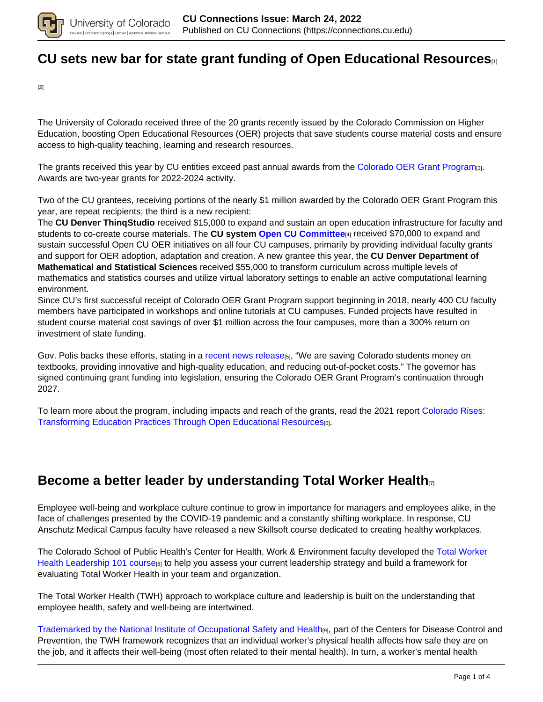

## **[CU sets new bar for state grant funding of Open Educational Resources](https://connections.cu.edu/spotlights/cu-sets-new-bar-state-grant-funding-open-educational-resources)**[1]

[2]

The University of Colorado received three of the 20 grants recently issued by the Colorado Commission on Higher Education, boosting Open Educational Resources (OER) projects that save students course material costs and ensure access to high-quality teaching, learning and research resources.

The grants received this year by CU entities exceed past annual awards from the Colorado OER Grant Program<sub>[3]</sub>. Awards are two-year grants for 2022-2024 activity.

Two of the CU grantees, receiving portions of the nearly \$1 million awarded by the Colorado OER Grant Program this year, are repeat recipients; the third is a new recipient:

The **CU Denver ThinqStudio** received \$15,000 to expand and sustain an open education infrastructure for faculty and students to co-create course materials. The **CU system Open CU Committee**[4] received \$70,000 to expand and sustain successful Open CU OER initiatives on all four CU campuses, primarily by providing individual faculty grants and support for OER adoption, adaptation and creation. A new grantee this year, the **CU Denver Department of Mathematical and Statistical Sciences** received \$55,000 to transform curriculum across multiple levels of mathematics and statistics courses and utilize virtual laboratory settings to enable an active computational learning environment.

Since CU's first successful receipt of Colorado OER Grant Program support beginning in 2018, nearly 400 CU faculty members have participated in workshops and online tutorials at CU campuses. Funded projects have resulted in student course material cost savings of over \$1 million across the four campuses, more than a 300% return on investment of state funding.

Gov. Polis backs these efforts, stating in a recent news release<sub>[5]</sub>, "We are saving Colorado students money on textbooks, providing innovative and high-quality education, and reducing out-of-pocket costs." The governor has signed continuing grant funding into legislation, ensuring the Colorado OER Grant Program's continuation through 2027.

To learn more about the program, including impacts and reach of the grants, read the 2021 report Colorado Rises: Transforming Education Practices Through Open Educational Resources[6].

#### **Become a better leader by understanding Total Worker Health**[7]

Employee well-being and workplace culture continue to grow in importance for managers and employees alike, in the face of challenges presented by the COVID-19 pandemic and a constantly shifting workplace. In response, CU Anschutz Medical Campus faculty have released a new Skillsoft course dedicated to creating healthy workplaces.

The Colorado School of Public Health's Center for Health, Work & Environment faculty developed the Total Worker Health Leadership 101 course<sub>[8]</sub> to help you assess your current leadership strategy and build a framework for evaluating Total Worker Health in your team and organization.

The Total Worker Health (TWH) approach to workplace culture and leadership is built on the understanding that employee health, safety and well-being are intertwined.

Trademarked by the National Institute of Occupational Safety and Health<sub>[9]</sub>, part of the Centers for Disease Control and Prevention, the TWH framework recognizes that an individual worker's physical health affects how safe they are on the job, and it affects their well-being (most often related to their mental health). In turn, a worker's mental health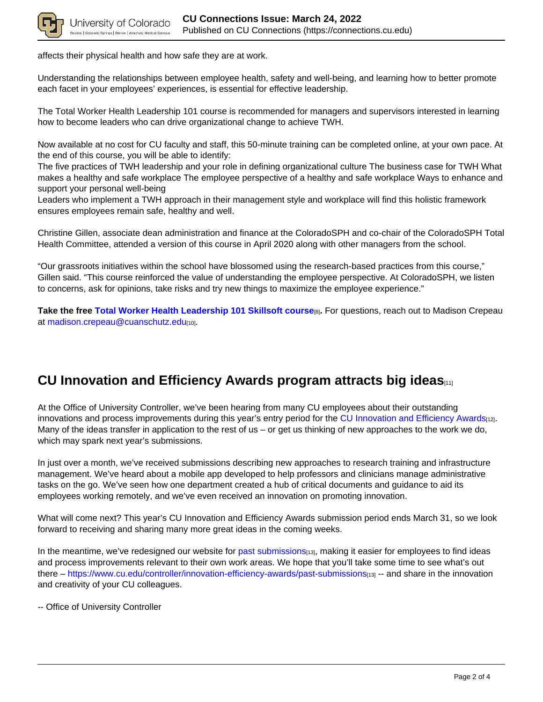

affects their physical health and how safe they are at work.

Understanding the relationships between employee health, safety and well-being, and learning how to better promote each facet in your employees' experiences, is essential for effective leadership.

The Total Worker Health Leadership 101 course is recommended for managers and supervisors interested in learning how to become leaders who can drive organizational change to achieve TWH.

Now available at no cost for CU faculty and staff, this 50-minute training can be completed online, at your own pace. At the end of this course, you will be able to identify:

The five practices of TWH leadership and your role in defining organizational culture The business case for TWH What makes a healthy and safe workplace The employee perspective of a healthy and safe workplace Ways to enhance and support your personal well-being

Leaders who implement a TWH approach in their management style and workplace will find this holistic framework ensures employees remain safe, healthy and well.

Christine Gillen, associate dean administration and finance at the ColoradoSPH and co-chair of the ColoradoSPH Total Health Committee, attended a version of this course in April 2020 along with other managers from the school.

"Our grassroots initiatives within the school have blossomed using the research-based practices from this course," Gillen said. "This course reinforced the value of understanding the employee perspective. At ColoradoSPH, we listen to concerns, ask for opinions, take risks and try new things to maximize the employee experience."

**Take the free Total Worker Health Leadership 101 Skillsoft course**[8]**.** For questions, reach out to Madison Crepeau at madison.crepeau@cuanschutz.edu[10].

### **CU Innovation and Efficiency Awards program attracts big ideas**[11]

At the Office of University Controller, we've been hearing from many CU employees about their outstanding innovations and process improvements during this year's entry period for the CU Innovation and Efficiency Awards[12]. Many of the ideas transfer in application to the rest of us – or get us thinking of new approaches to the work we do, which may spark next year's submissions.

In just over a month, we've received submissions describing new approaches to research training and infrastructure management. We've heard about a mobile app developed to help professors and clinicians manage administrative tasks on the go. We've seen how one department created a hub of critical documents and guidance to aid its employees working remotely, and we've even received an innovation on promoting innovation.

What will come next? This year's CU Innovation and Efficiency Awards submission period ends March 31, so we look forward to receiving and sharing many more great ideas in the coming weeks.

In the meantime, we've redesigned our website for past submissions<sub>[13]</sub>, making it easier for employees to find ideas and process improvements relevant to their own work areas. We hope that you'll take some time to see what's out there – https://www.cu.edu/controller/innovation-efficiency-awards/past-submissions<sub>[13]</sub> -- and share in the innovation and creativity of your CU colleagues.

-- Office of University Controller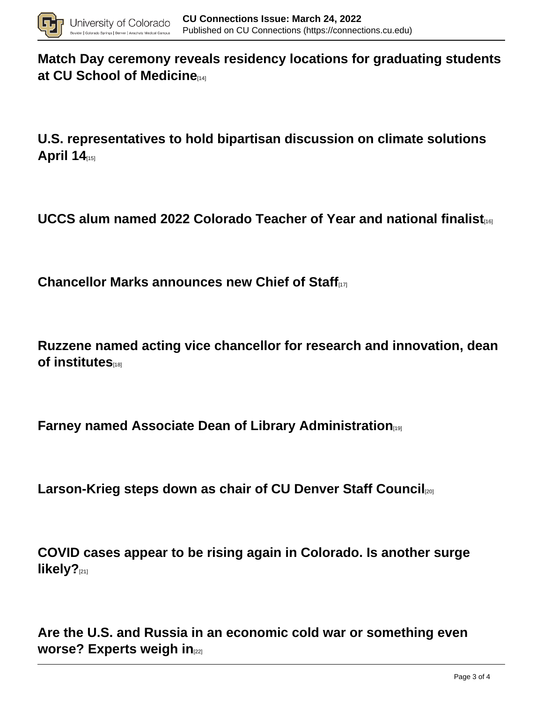

**Match Day ceremony reveals residency locations for graduating students at CU School of Medicine** 

**U.S. representatives to hold bipartisan discussion on climate solutions April 14**[15]

**UCCS alum named 2022 Colorado Teacher of Year and national finalist**[16]

**Chancellor Marks announces new Chief of Staff**[17]

**Ruzzene named acting vice chancellor for research and innovation, dean of institutes** 

**Farney named Associate Dean of Library Administration**[19]

**Larson-Krieg steps down as chair of CU Denver Staff Council**[20]

**COVID cases appear to be rising again in Colorado. Is another surge likely?**[21]

**Are the U.S. and Russia in an economic cold war or something even worse? Experts weigh in**[22]